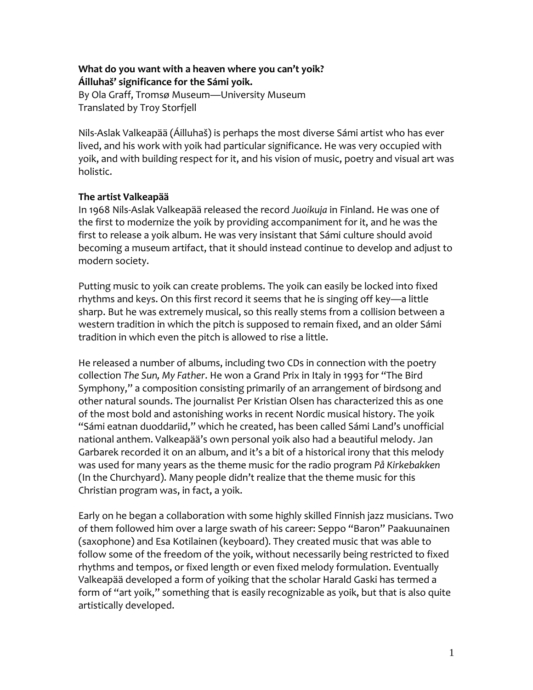## **What do you want with a heaven where you can't yoik? Áilluhaš' significance for the Sámi yoik.**

By Ola Graff, Tromsø Museum—University Museum Translated by Troy Storfjell

Nils-Aslak Valkeapää (Áilluhaš) is perhaps the most diverse Sámi artist who has ever lived, and his work with yoik had particular significance. He was very occupied with yoik, and with building respect for it, and his vision of music, poetry and visual art was holistic.

## **The artist Valkeapää**

In 1968 Nils-Aslak Valkeapää released the record *Juoikuja* in Finland. He was one of the first to modernize the yoik by providing accompaniment for it, and he was the first to release a yoik album. He was very insistant that Sámi culture should avoid becoming a museum artifact, that it should instead continue to develop and adjust to modern society.

Putting music to yoik can create problems. The yoik can easily be locked into fixed rhythms and keys. On this first record it seems that he is singing off key—a little sharp. But he was extremely musical, so this really stems from a collision between a western tradition in which the pitch is supposed to remain fixed, and an older Sámi tradition in which even the pitch is allowed to rise a little.

He released a number of albums, including two CDs in connection with the poetry collection *The Sun, My Father*. He won a Grand Prix in Italy in 1993 for "The Bird Symphony," a composition consisting primarily of an arrangement of birdsong and other natural sounds. The journalist Per Kristian Olsen has characterized this as one of the most bold and astonishing works in recent Nordic musical history. The yoik "Sámi eatnan duoddariid," which he created, has been called Sámi Land's unofficial national anthem. Valkeapää's own personal yoik also had a beautiful melody. Jan Garbarek recorded it on an album, and it's a bit of a historical irony that this melody was used for many years as the theme music for the radio program *På Kirkebakken* (In the Churchyard). Many people didn't realize that the theme music for this Christian program was, in fact, a yoik.

Early on he began a collaboration with some highly skilled Finnish jazz musicians. Two of them followed him over a large swath of his career: Seppo "Baron" Paakuunainen (saxophone) and Esa Kotilainen (keyboard). They created music that was able to follow some of the freedom of the yoik, without necessarily being restricted to fixed rhythms and tempos, or fixed length or even fixed melody formulation. Eventually Valkeapää developed a form of yoiking that the scholar Harald Gaski has termed a form of "art yoik," something that is easily recognizable as yoik, but that is also quite artistically developed.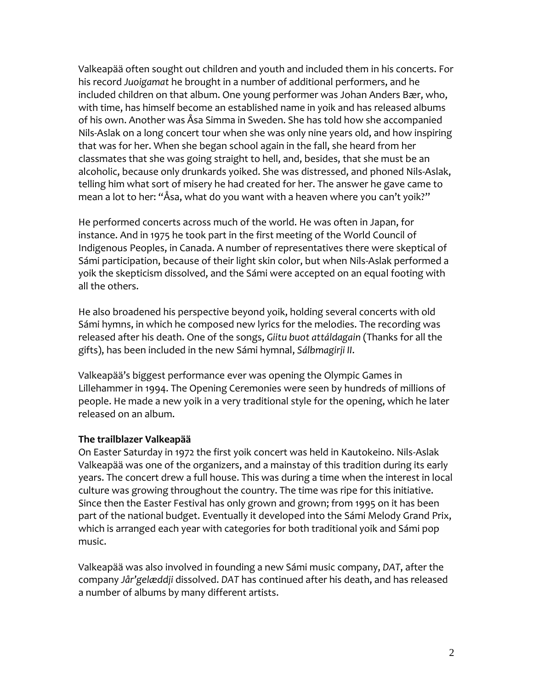Valkeapää often sought out children and youth and included them in his concerts. For his record *Juoigamat* he brought in a number of additional performers, and he included children on that album. One young performer was Johan Anders Bær, who, with time, has himself become an established name in yoik and has released albums of his own. Another was Åsa Simma in Sweden. She has told how she accompanied Nils-Aslak on a long concert tour when she was only nine years old, and how inspiring that was for her. When she began school again in the fall, she heard from her classmates that she was going straight to hell, and, besides, that she must be an alcoholic, because only drunkards yoiked. She was distressed, and phoned Nils-Aslak, telling him what sort of misery he had created for her. The answer he gave came to mean a lot to her: "Åsa, what do you want with a heaven where you can't yoik?"

He performed concerts across much of the world. He was often in Japan, for instance. And in 1975 he took part in the first meeting of the World Council of Indigenous Peoples, in Canada. A number of representatives there were skeptical of Sámi participation, because of their light skin color, but when Nils-Aslak performed a yoik the skepticism dissolved, and the Sámi were accepted on an equal footing with all the others.

He also broadened his perspective beyond yoik, holding several concerts with old Sámi hymns, in which he composed new lyrics for the melodies. The recording was released after his death. One of the songs, *Giitu buot attáldagain* (Thanks for all the gifts), has been included in the new Sámi hymnal, *Sálbmagirji II*.

Valkeapää's biggest performance ever was opening the Olympic Games in Lillehammer in 1994. The Opening Ceremonies were seen by hundreds of millions of people. He made a new yoik in a very traditional style for the opening, which he later released on an album.

## **The trailblazer Valkeapää**

On Easter Saturday in 1972 the first yoik concert was held in Kautokeino. Nils-Aslak Valkeapää was one of the organizers, and a mainstay of this tradition during its early years. The concert drew a full house. This was during a time when the interest in local culture was growing throughout the country. The time was ripe for this initiative. Since then the Easter Festival has only grown and grown; from 1995 on it has been part of the national budget. Eventually it developed into the Sámi Melody Grand Prix, which is arranged each year with categories for both traditional yoik and Sámi pop music.

Valkeapää was also involved in founding a new Sámi music company, *DAT*, after the company *Jår'gelæddji* dissolved. *DAT* has continued after his death, and has released a number of albums by many different artists.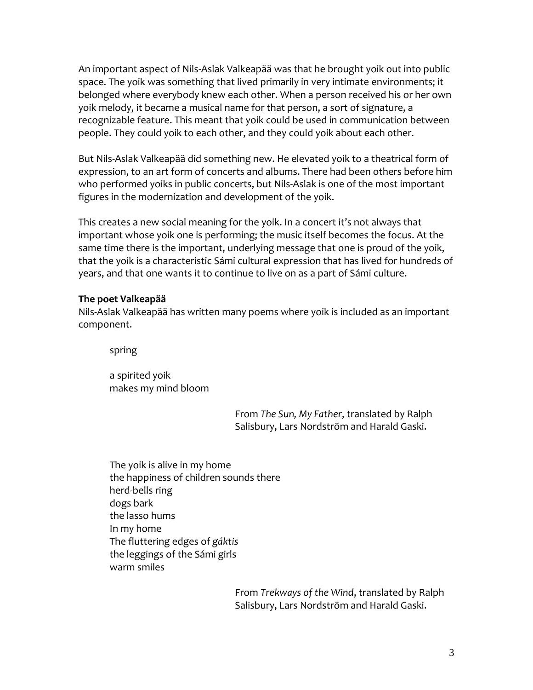An important aspect of Nils-Aslak Valkeapää was that he brought yoik out into public space. The yoik was something that lived primarily in very intimate environments; it belonged where everybody knew each other. When a person received his or her own yoik melody, it became a musical name for that person, a sort of signature, a recognizable feature. This meant that yoik could be used in communication between people. They could yoik to each other, and they could yoik about each other.

But Nils-Aslak Valkeapää did something new. He elevated yoik to a theatrical form of expression, to an art form of concerts and albums. There had been others before him who performed yoiks in public concerts, but Nils-Aslak is one of the most important figures in the modernization and development of the yoik.

This creates a new social meaning for the yoik. In a concert it's not always that important whose yoik one is performing; the music itself becomes the focus. At the same time there is the important, underlying message that one is proud of the yoik, that the yoik is a characteristic Sámi cultural expression that has lived for hundreds of years, and that one wants it to continue to live on as a part of Sámi culture.

## **The poet Valkeapää**

Nils-Aslak Valkeapää has written many poems where yoik is included as an important component.

spring

a spirited yoik makes my mind bloom

> From *The Sun, My Father*, translated by Ralph Salisbury, Lars Nordström and Harald Gaski.

The yoik is alive in my home the happiness of children sounds there herd-bells ring dogs bark the lasso hums In my home The fluttering edges of *gáktis* the leggings of the Sámi girls warm smiles

> From *Trekways of the Wind*, translated by Ralph Salisbury, Lars Nordström and Harald Gaski.